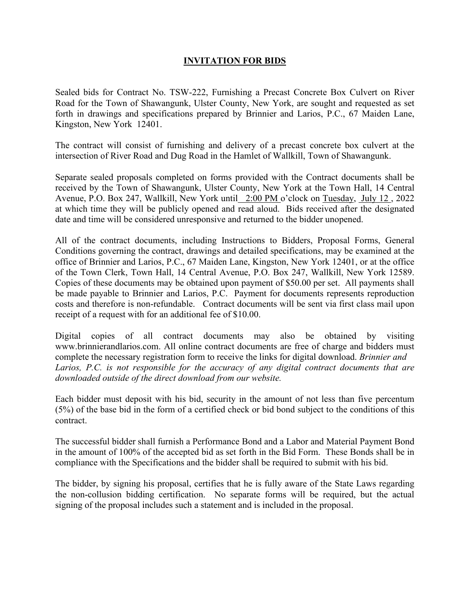## **INVITATION FOR BIDS**

Sealed bids for Contract No. TSW-222, Furnishing a Precast Concrete Box Culvert on River Road for the Town of Shawangunk, Ulster County, New York, are sought and requested as set forth in drawings and specifications prepared by Brinnier and Larios, P.C., 67 Maiden Lane, Kingston, New York 12401.

The contract will consist of furnishing and delivery of a precast concrete box culvert at the intersection of River Road and Dug Road in the Hamlet of Wallkill, Town of Shawangunk.

Separate sealed proposals completed on forms provided with the Contract documents shall be received by the Town of Shawangunk, Ulster County, New York at the Town Hall, 14 Central Avenue, P.O. Box 247, Wallkill, New York until 2:00 PM o'clock on Tuesday, July 12 , 2022 at which time they will be publicly opened and read aloud. Bids received after the designated date and time will be considered unresponsive and returned to the bidder unopened.

All of the contract documents, including Instructions to Bidders, Proposal Forms, General Conditions governing the contract, drawings and detailed specifications, may be examined at the office of Brinnier and Larios, P.C., 67 Maiden Lane, Kingston, New York 12401, or at the office of the Town Clerk, Town Hall, 14 Central Avenue, P.O. Box 247, Wallkill, New York 12589. Copies of these documents may be obtained upon payment of \$50.00 per set. All payments shall be made payable to Brinnier and Larios, P.C. Payment for documents represents reproduction costs and therefore is non-refundable. Contract documents will be sent via first class mail upon receipt of a request with for an additional fee of \$10.00.

Digital copies of all contract documents may also be obtained by visiting www.brinnierandlarios.com. All online contract documents are free of charge and bidders must complete the necessary registration form to receive the links for digital download. *Brinnier and Larios, P.C. is not responsible for the accuracy of any digital contract documents that are downloaded outside of the direct download from our website.*

Each bidder must deposit with his bid, security in the amount of not less than five percentum (5%) of the base bid in the form of a certified check or bid bond subject to the conditions of this contract.

The successful bidder shall furnish a Performance Bond and a Labor and Material Payment Bond in the amount of 100% of the accepted bid as set forth in the Bid Form. These Bonds shall be in compliance with the Specifications and the bidder shall be required to submit with his bid.

The bidder, by signing his proposal, certifies that he is fully aware of the State Laws regarding the non-collusion bidding certification. No separate forms will be required, but the actual signing of the proposal includes such a statement and is included in the proposal.